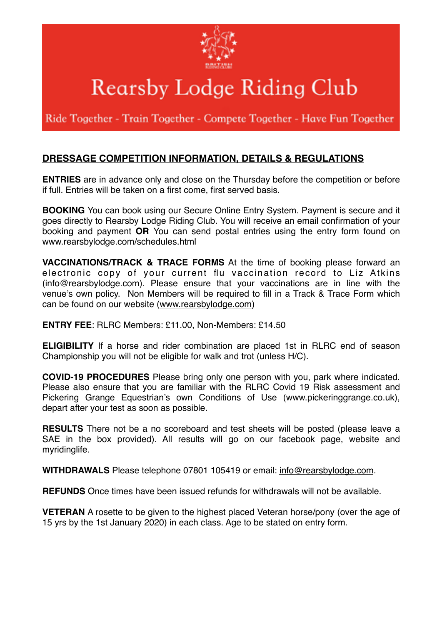

## Rearsby Lodge Riding Club

Ride Together - Train Together - Compete Together - Have Fun Together

## **DRESSAGE COMPETITION INFORMATION, DETAILS & REGULATIONS**

**ENTRIES** are in advance only and close on the Thursday before the competition or before if full. Entries will be taken on a first come, first served basis.

**BOOKING** You can book using our Secure Online Entry System. Payment is secure and it goes directly to Rearsby Lodge Riding Club. You will receive an email confirmation of your booking and payment **OR** You can send postal entries using the entry form found on www.rearsbylodge.com/schedules.html

**VACCINATIONS/TRACK & TRACE FORMS** At the time of booking please forward an electronic copy of your current flu vaccination record to Liz Atkins (info@rearsbylodge.com). Please ensure that your vaccinations are in line with the venue's own policy. Non Members will be required to fill in a Track & Trace Form which can be found on our website [\(www.rearsbylodge.com](http://www.rearsbylodge.com))

**ENTRY FEE**: RLRC Members: £11.00, Non-Members: £14.50

**ELIGIBILITY** If a horse and rider combination are placed 1st in RLRC end of season Championship you will not be eligible for walk and trot (unless H/C).

**COVID-19 PROCEDURES** Please bring only one person with you, park where indicated. Please also ensure that you are familiar with the RLRC Covid 19 Risk assessment and Pickering Grange Equestrian's own Conditions of Use (www.pickeringgrange.co.uk), depart after your test as soon as possible.

**RESULTS** There not be a no scoreboard and test sheets will be posted (please leave a SAE in the box provided). All results will go on our facebook page, website and myridinglife.

**WITHDRAWALS** Please telephone 07801 105419 or email: [info@rearsbylodge.com](mailto:info@rearsbylodge.com).

**REFUNDS** Once times have been issued refunds for withdrawals will not be available.

**VETERAN** A rosette to be given to the highest placed Veteran horse/pony (over the age of 15 yrs by the 1st January 2020) in each class. Age to be stated on entry form.